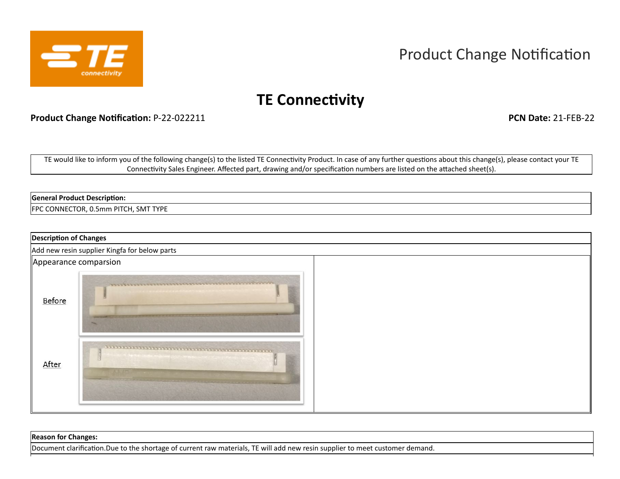

# Product Change Notification

## **TE Connectivity**

**Product Change Notification:** P-22-022211 **PCN Date:** 21-FEB-22

TE would like to inform you of the following change(s) to the listed TE Connectivity Product. In case of any further questions about this change(s), please contact your TE Connectivity Sales Engineer. Affected part, drawing and/or specification numbers are listed on the attached sheet(s).

#### **General Product Description:**

FPC CONNECTOR, 0.5mm PITCH, SMT TYPE

|                       | <b>Description of Changes</b>                 |  |  |  |  |  |  |  |
|-----------------------|-----------------------------------------------|--|--|--|--|--|--|--|
|                       | Add new resin supplier Kingfa for below parts |  |  |  |  |  |  |  |
| Appearance comparsion |                                               |  |  |  |  |  |  |  |
| Before                |                                               |  |  |  |  |  |  |  |
| After                 |                                               |  |  |  |  |  |  |  |

### **Reason for Changes:** Document clarification.Due to the shortage of current raw materials, TE will add new resin supplier to meet customer demand.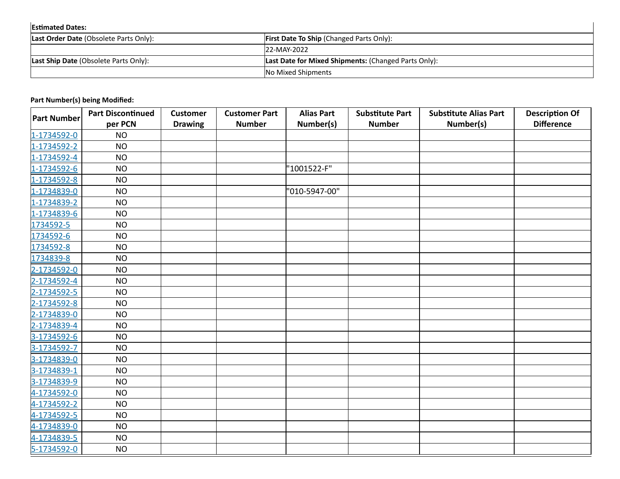| <b>Estimated Dates:</b>                      |                                                             |  |  |  |
|----------------------------------------------|-------------------------------------------------------------|--|--|--|
| Last Order Date (Obsolete Parts Only):       | <b>First Date To Ship (Changed Parts Only):</b>             |  |  |  |
|                                              | 22-MAY-2022                                                 |  |  |  |
| <b>Last Ship Date (Obsolete Parts Only):</b> | <b>Last Date for Mixed Shipments: (Changed Parts Only):</b> |  |  |  |
|                                              | <b>No Mixed Shipments</b>                                   |  |  |  |

| <b>I dit isamber (3) being moduled:</b> | <b>Part Discontinued</b> | <b>Customer</b> | <b>Customer Part</b> | <b>Alias Part</b> | <b>Substitute Part</b> | <b>Substitute Alias Part</b> | <b>Description Of</b> |
|-----------------------------------------|--------------------------|-----------------|----------------------|-------------------|------------------------|------------------------------|-----------------------|
| <b>Part Number</b>                      | per PCN                  | <b>Drawing</b>  | <b>Number</b>        | Number(s)         | <b>Number</b>          | Number(s)                    | <b>Difference</b>     |
| 1-1734592-0                             | <b>NO</b>                |                 |                      |                   |                        |                              |                       |
| 1-1734592-2                             | <b>NO</b>                |                 |                      |                   |                        |                              |                       |
| 1-1734592-4                             | <b>NO</b>                |                 |                      |                   |                        |                              |                       |
| 1-1734592-6                             | <b>NO</b>                |                 |                      | "1001522-F"       |                        |                              |                       |
| 1-1734592-8                             | <b>NO</b>                |                 |                      |                   |                        |                              |                       |
| 1-1734839-0                             | <b>NO</b>                |                 |                      | '010-5947-00"     |                        |                              |                       |
| 1-1734839-2                             | <b>NO</b>                |                 |                      |                   |                        |                              |                       |
| 1-1734839-6                             | <b>NO</b>                |                 |                      |                   |                        |                              |                       |
| 1734592-5                               | <b>NO</b>                |                 |                      |                   |                        |                              |                       |
| 1734592-6                               | <b>NO</b>                |                 |                      |                   |                        |                              |                       |
| 1734592-8                               | <b>NO</b>                |                 |                      |                   |                        |                              |                       |
| 1734839-8                               | <b>NO</b>                |                 |                      |                   |                        |                              |                       |
| 2-1734592-0                             | <b>NO</b>                |                 |                      |                   |                        |                              |                       |
| 2-1734592-4                             | <b>NO</b>                |                 |                      |                   |                        |                              |                       |
| 2-1734592-5                             | <b>NO</b>                |                 |                      |                   |                        |                              |                       |
| 2-1734592-8                             | <b>NO</b>                |                 |                      |                   |                        |                              |                       |
| 2-1734839-0                             | <b>NO</b>                |                 |                      |                   |                        |                              |                       |
| 2-1734839-4                             | <b>NO</b>                |                 |                      |                   |                        |                              |                       |
| 3-1734592-6                             | <b>NO</b>                |                 |                      |                   |                        |                              |                       |
| 3-1734592-7                             | <b>NO</b>                |                 |                      |                   |                        |                              |                       |
| 3-1734839-0                             | <b>NO</b>                |                 |                      |                   |                        |                              |                       |
| 3-1734839-1                             | <b>NO</b>                |                 |                      |                   |                        |                              |                       |
| 3-1734839-9                             | <b>NO</b>                |                 |                      |                   |                        |                              |                       |
| 4-1734592-0                             | <b>NO</b>                |                 |                      |                   |                        |                              |                       |
| 4-1734592-2                             | <b>NO</b>                |                 |                      |                   |                        |                              |                       |
| 4-1734592-5                             | <b>NO</b>                |                 |                      |                   |                        |                              |                       |
| 4-1734839-0                             | <b>NO</b>                |                 |                      |                   |                        |                              |                       |
| 4-1734839-5                             | <b>NO</b>                |                 |                      |                   |                        |                              |                       |
| 5-1734592-0                             | <b>NO</b>                |                 |                      |                   |                        |                              |                       |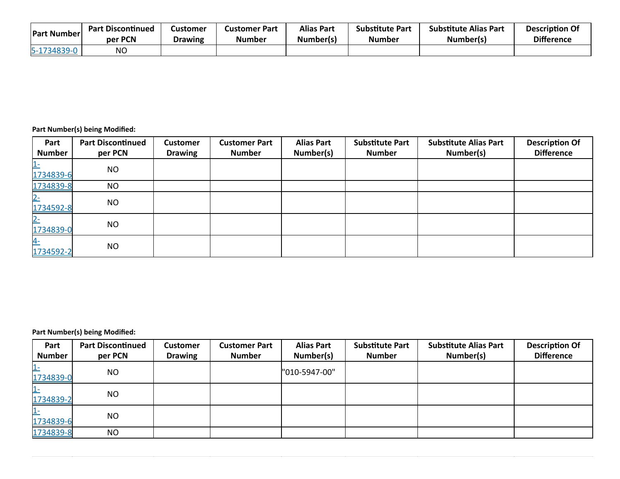| <b>Part Number</b> | <b>Part Discontinued</b> | Customer       | <b>Customer Part</b> | <b>Alias Part</b> | <b>Substitute Part</b> | <b>Substitute Alias Part</b> | <b>Description Of</b> |
|--------------------|--------------------------|----------------|----------------------|-------------------|------------------------|------------------------------|-----------------------|
|                    | per PCN                  | <b>Drawing</b> | <b>Number</b>        | Number(s)         | Number                 | Number(s)                    | <b>Difference</b>     |
| 5-1734839-L        | <b>NO</b>                |                |                      |                   |                        |                              |                       |

| Part<br><b>Number</b> | <b>Part Discontinued</b><br>per PCN | <b>Customer</b><br><b>Drawing</b> | <b>Customer Part</b><br><b>Number</b> | <b>Alias Part</b><br>Number(s) | <b>Substitute Part</b><br><b>Number</b> | <b>Substitute Alias Part</b><br>Number(s) | <b>Description Of</b><br><b>Difference</b> |
|-----------------------|-------------------------------------|-----------------------------------|---------------------------------------|--------------------------------|-----------------------------------------|-------------------------------------------|--------------------------------------------|
| $1$ -<br>1734839-6    | <b>NO</b>                           |                                   |                                       |                                |                                         |                                           |                                            |
| 1734839-8             | <b>NO</b>                           |                                   |                                       |                                |                                         |                                           |                                            |
| $2-$<br>1734592-8     | <b>NO</b>                           |                                   |                                       |                                |                                         |                                           |                                            |
| $2-$<br>1734839-0     | <b>NO</b>                           |                                   |                                       |                                |                                         |                                           |                                            |
| $4-$<br>1734592-2     | <b>NO</b>                           |                                   |                                       |                                |                                         |                                           |                                            |

| Part                    | <b>Part Discontinued</b> | <b>Customer</b> | <b>Customer Part</b> | <b>Alias Part</b> | <b>Substitute Part</b> | <b>Substitute Alias Part</b> | <b>Description Of</b> |
|-------------------------|--------------------------|-----------------|----------------------|-------------------|------------------------|------------------------------|-----------------------|
| <b>Number</b>           | per PCN                  | <b>Drawing</b>  | <b>Number</b>        | Number(s)         | <b>Number</b>          | Number(s)                    | <b>Difference</b>     |
| <u> 1-</u><br>1734839-0 | <b>NO</b>                |                 |                      | "010-5947-00"     |                        |                              |                       |
| <u> 1-</u><br>1734839-2 | <b>NO</b>                |                 |                      |                   |                        |                              |                       |
| $1 -$<br>1734839-6      | <b>NO</b>                |                 |                      |                   |                        |                              |                       |
| 1734839-8               | <b>NO</b>                |                 |                      |                   |                        |                              |                       |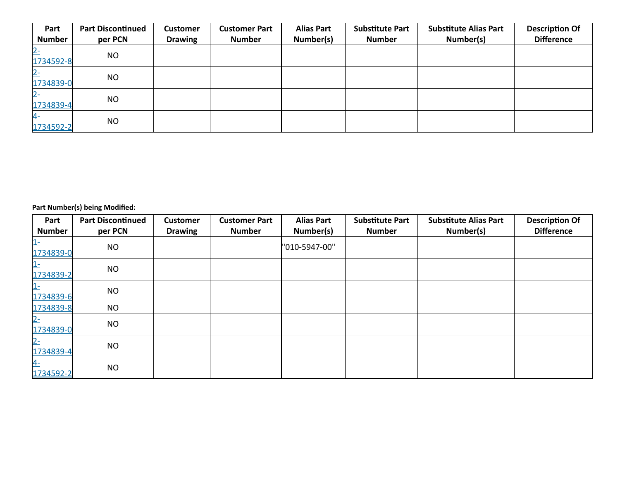| Part<br><b>Number</b> | <b>Part Discontinued</b><br>per PCN | <b>Customer</b><br><b>Drawing</b> | <b>Customer Part</b><br><b>Number</b> | <b>Alias Part</b><br>Number(s) | <b>Substitute Part</b><br><b>Number</b> | <b>Substitute Alias Part</b><br>Number(s) | <b>Description Of</b><br><b>Difference</b> |
|-----------------------|-------------------------------------|-----------------------------------|---------------------------------------|--------------------------------|-----------------------------------------|-------------------------------------------|--------------------------------------------|
| $2-$<br>1734592-8     | <b>NO</b>                           |                                   |                                       |                                |                                         |                                           |                                            |
| $2-$<br>1734839-0     | <b>NO</b>                           |                                   |                                       |                                |                                         |                                           |                                            |
| $2-$<br>1734839-4     | <b>NO</b>                           |                                   |                                       |                                |                                         |                                           |                                            |
| $4-$<br>1734592-2     | <b>NO</b>                           |                                   |                                       |                                |                                         |                                           |                                            |

| Part<br><b>Number</b> | <b>Part Discontinued</b><br>per PCN | <b>Customer</b><br><b>Drawing</b> | <b>Customer Part</b><br><b>Number</b> | <b>Alias Part</b><br>Number(s) | <b>Substitute Part</b><br><b>Number</b> | <b>Substitute Alias Part</b><br>Number(s) | <b>Description Of</b><br><b>Difference</b> |
|-----------------------|-------------------------------------|-----------------------------------|---------------------------------------|--------------------------------|-----------------------------------------|-------------------------------------------|--------------------------------------------|
| $1-$<br>1734839-0     | <b>NO</b>                           |                                   |                                       | "010-5947-00"                  |                                         |                                           |                                            |
| $1-$<br>1734839-2     | <b>NO</b>                           |                                   |                                       |                                |                                         |                                           |                                            |
| $1-$<br>1734839-6     | <b>NO</b>                           |                                   |                                       |                                |                                         |                                           |                                            |
| 1734839-8             | <b>NO</b>                           |                                   |                                       |                                |                                         |                                           |                                            |
| $2 -$<br>1734839-0    | <b>NO</b>                           |                                   |                                       |                                |                                         |                                           |                                            |
| $2-$<br>1734839-4     | <b>NO</b>                           |                                   |                                       |                                |                                         |                                           |                                            |
| $4-$<br>1734592-2     | <b>NO</b>                           |                                   |                                       |                                |                                         |                                           |                                            |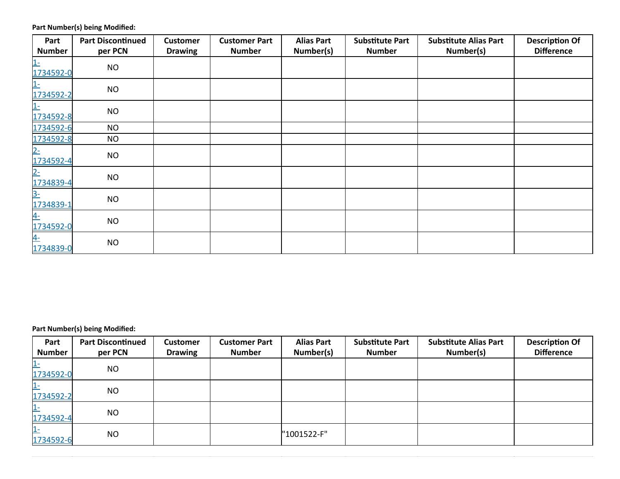| Part<br><b>Number</b> | <b>Part Discontinued</b><br>per PCN | <b>Customer</b><br><b>Drawing</b> | <b>Customer Part</b><br><b>Number</b> | <b>Alias Part</b><br>Number(s) | <b>Substitute Part</b><br><b>Number</b> | <b>Substitute Alias Part</b><br>Number(s) | <b>Description Of</b><br><b>Difference</b> |
|-----------------------|-------------------------------------|-----------------------------------|---------------------------------------|--------------------------------|-----------------------------------------|-------------------------------------------|--------------------------------------------|
| $1-$<br>1734592-0     | <b>NO</b>                           |                                   |                                       |                                |                                         |                                           |                                            |
| $1-$<br>1734592-2     | <b>NO</b>                           |                                   |                                       |                                |                                         |                                           |                                            |
| $1-$<br>1734592-8     | <b>NO</b>                           |                                   |                                       |                                |                                         |                                           |                                            |
| 1734592-6             | <b>NO</b>                           |                                   |                                       |                                |                                         |                                           |                                            |
| 1734592-8             | <b>NO</b>                           |                                   |                                       |                                |                                         |                                           |                                            |
| $2-$<br>1734592-4     | <b>NO</b>                           |                                   |                                       |                                |                                         |                                           |                                            |
| $2 -$<br>1734839-4    | <b>NO</b>                           |                                   |                                       |                                |                                         |                                           |                                            |
| $3-$<br>1734839-1     | <b>NO</b>                           |                                   |                                       |                                |                                         |                                           |                                            |
| $4-$<br>1734592-0     | <b>NO</b>                           |                                   |                                       |                                |                                         |                                           |                                            |
| $4-$<br>1734839-0     | <b>NO</b>                           |                                   |                                       |                                |                                         |                                           |                                            |

| Part<br><b>Number</b> | <b>Part Discontinued</b><br>per PCN | <b>Customer</b><br><b>Drawing</b> | <b>Customer Part</b><br><b>Number</b> | <b>Alias Part</b><br>Number(s) | <b>Substitute Part</b><br><b>Number</b> | <b>Substitute Alias Part</b><br>Number(s) | <b>Description Of</b><br><b>Difference</b> |
|-----------------------|-------------------------------------|-----------------------------------|---------------------------------------|--------------------------------|-----------------------------------------|-------------------------------------------|--------------------------------------------|
| $1 -$<br>1734592-0    | <b>NO</b>                           |                                   |                                       |                                |                                         |                                           |                                            |
| $1 -$<br>1734592-2    | <b>NO</b>                           |                                   |                                       |                                |                                         |                                           |                                            |
| $1 -$<br>1734592-4    | <b>NO</b>                           |                                   |                                       |                                |                                         |                                           |                                            |
| $1 -$<br>1734592-6    | <b>NO</b>                           |                                   |                                       | "1001522-F"                    |                                         |                                           |                                            |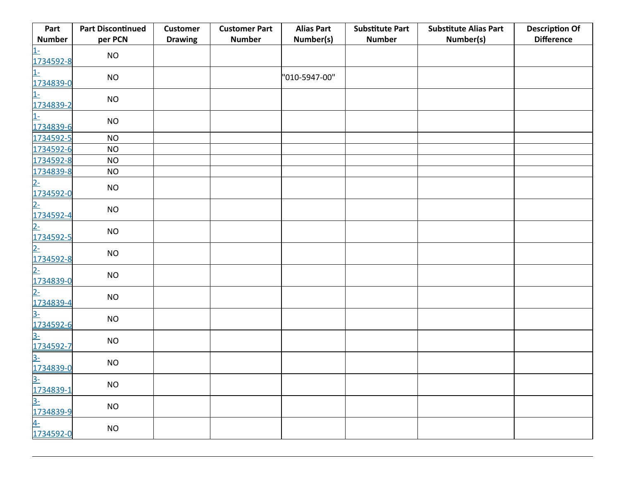| Part                                                    | <b>Part Discontinued</b> | <b>Customer</b> | <b>Customer Part</b> | <b>Alias Part</b> | <b>Substitute Part</b> | <b>Substitute Alias Part</b> | <b>Description Of</b> |
|---------------------------------------------------------|--------------------------|-----------------|----------------------|-------------------|------------------------|------------------------------|-----------------------|
| <b>Number</b>                                           | per PCN                  | <b>Drawing</b>  | <b>Number</b>        | Number(s)         | <b>Number</b>          | Number(s)                    | <b>Difference</b>     |
| $1-$<br>1734592-8                                       | NO                       |                 |                      |                   |                        |                              |                       |
| $1-$<br>1734839-0                                       | NO                       |                 |                      | "010-5947-00"     |                        |                              |                       |
| $1-$<br>1734839-2                                       | <b>NO</b>                |                 |                      |                   |                        |                              |                       |
| $1-$<br>1734839-6                                       | <b>NO</b>                |                 |                      |                   |                        |                              |                       |
| 1734592-5                                               | <b>NO</b>                |                 |                      |                   |                        |                              |                       |
| 1734592-6                                               | NO                       |                 |                      |                   |                        |                              |                       |
| 1734592-8                                               | <b>NO</b>                |                 |                      |                   |                        |                              |                       |
| 1734839-8                                               | <b>NO</b>                |                 |                      |                   |                        |                              |                       |
| $2 -$<br>1734592-0                                      | <b>NO</b>                |                 |                      |                   |                        |                              |                       |
| <u>2-</u><br>1734592-4                                  | NO                       |                 |                      |                   |                        |                              |                       |
| $2 -$<br>1734592-5                                      | NO                       |                 |                      |                   |                        |                              |                       |
| <u>2-</u><br>1734592-8                                  | <b>NO</b>                |                 |                      |                   |                        |                              |                       |
| $2 -$<br>1734839-0                                      | NO                       |                 |                      |                   |                        |                              |                       |
| <u>2-</u><br><u>1734839-4</u><br><u>3-</u><br>1734592-6 | $NO$                     |                 |                      |                   |                        |                              |                       |
|                                                         | <b>NO</b>                |                 |                      |                   |                        |                              |                       |
| <u>3-</u><br>1734592-7                                  | NO                       |                 |                      |                   |                        |                              |                       |
| $3-$<br>1734839-0                                       | <b>NO</b>                |                 |                      |                   |                        |                              |                       |
|                                                         | <b>NO</b>                |                 |                      |                   |                        |                              |                       |
| <u>3-</u><br>1734839-1<br><u>3-</u><br>1734839-9        | $\rm NO$                 |                 |                      |                   |                        |                              |                       |
| <u>4-</u><br>1734592-0                                  | <b>NO</b>                |                 |                      |                   |                        |                              |                       |